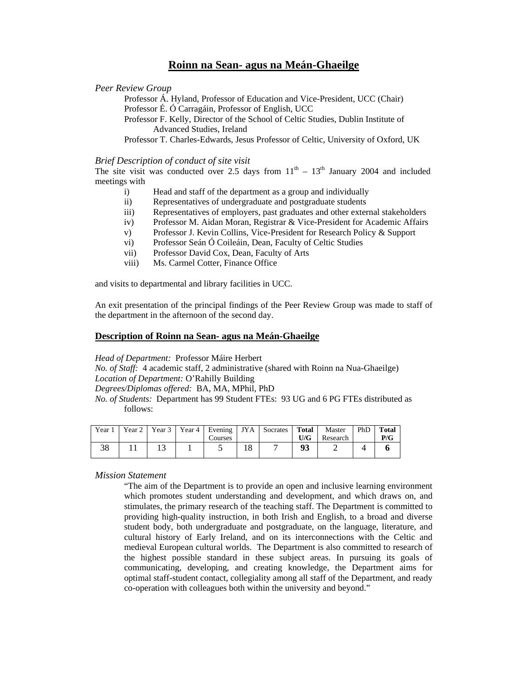# **Roinn na Sean- agus na Meán-Ghaeilge**

#### *Peer Review Group*

Professor Á. Hyland, Professor of Education and Vice-President, UCC (Chair) Professor É. Ó Carragáin, Professor of English, UCC

Professor F. Kelly, Director of the School of Celtic Studies, Dublin Institute of Advanced Studies, Ireland

Professor T. Charles-Edwards, Jesus Professor of Celtic, University of Oxford, UK

### *Brief Description of conduct of site visit*

The site visit was conducted over 2.5 days from  $11<sup>th</sup> - 13<sup>th</sup>$  January 2004 and included meetings with

- i) Head and staff of the department as a group and individually
- ii) Representatives of undergraduate and postgraduate students
- iii) Representatives of employers, past graduates and other external stakeholders
- iv) Professor M. Aidan Moran, Registrar & Vice-President for Academic Affairs
- v) Professor J. Kevin Collins, Vice-President for Research Policy & Support
- vi) Professor Seán Ó Coileáin, Dean, Faculty of Celtic Studies
- vii) Professor David Cox, Dean, Faculty of Arts
- viii) Ms. Carmel Cotter, Finance Office

and visits to departmental and library facilities in UCC.

An exit presentation of the principal findings of the Peer Review Group was made to staff of the department in the afternoon of the second day.

## **Description of Roinn na Sean- agus na Meán-Ghaeilge**

*Head of Department:* Professor Máire Herbert

*No. of Staff:* 4 academic staff, 2 administrative (shared with Roinn na Nua-Ghaeilge) *Location of Department:* O'Rahilly Building

*Degrees/Diplomas offered:* BA, MA, MPhil, PhD

*No. of Students:* Department has 99 Student FTEs: 93 UG and 6 PG FTEs distributed as follows:

| Year 1   | Year 2 |  | Year 3   Year 4   Evening | JYA       | Socrates | Total | Master   | PhD | <b>Total</b> |
|----------|--------|--|---------------------------|-----------|----------|-------|----------|-----|--------------|
|          |        |  | Courses                   |           |          | U/G   | Research |     | P/G          |
| 20<br>эo |        |  |                           | 1 O<br>10 |          | 93    |          |     |              |
|          |        |  |                           |           |          |       |          |     |              |

#### *Mission Statement*

"The aim of the Department is to provide an open and inclusive learning environment which promotes student understanding and development, and which draws on, and stimulates, the primary research of the teaching staff. The Department is committed to providing high-quality instruction, in both Irish and English, to a broad and diverse student body, both undergraduate and postgraduate, on the language, literature, and cultural history of Early Ireland, and on its interconnections with the Celtic and medieval European cultural worlds. The Department is also committed to research of the highest possible standard in these subject areas. In pursuing its goals of communicating, developing, and creating knowledge, the Department aims for optimal staff-student contact, collegiality among all staff of the Department, and ready co-operation with colleagues both within the university and beyond."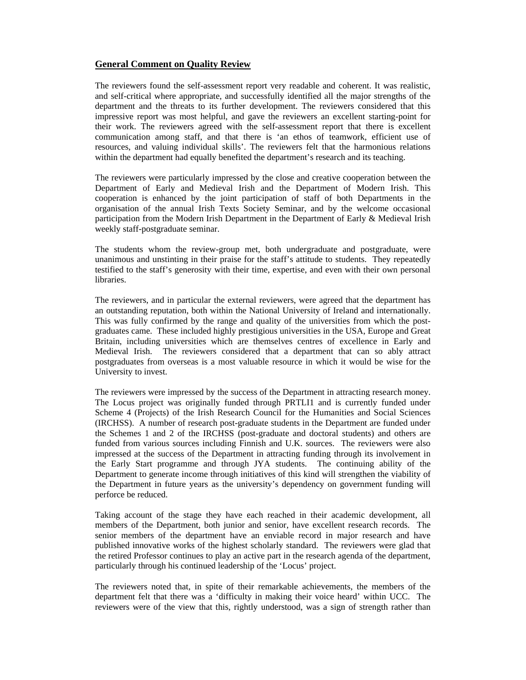# **General Comment on Quality Review**

The reviewers found the self-assessment report very readable and coherent. It was realistic, and self-critical where appropriate, and successfully identified all the major strengths of the department and the threats to its further development. The reviewers considered that this impressive report was most helpful, and gave the reviewers an excellent starting-point for their work. The reviewers agreed with the self-assessment report that there is excellent communication among staff, and that there is 'an ethos of teamwork, efficient use of resources, and valuing individual skills'. The reviewers felt that the harmonious relations within the department had equally benefited the department's research and its teaching.

The reviewers were particularly impressed by the close and creative cooperation between the Department of Early and Medieval Irish and the Department of Modern Irish. This cooperation is enhanced by the joint participation of staff of both Departments in the organisation of the annual Irish Texts Society Seminar, and by the welcome occasional participation from the Modern Irish Department in the Department of Early & Medieval Irish weekly staff-postgraduate seminar.

The students whom the review-group met, both undergraduate and postgraduate, were unanimous and unstinting in their praise for the staff's attitude to students. They repeatedly testified to the staff's generosity with their time, expertise, and even with their own personal libraries.

The reviewers, and in particular the external reviewers, were agreed that the department has an outstanding reputation, both within the National University of Ireland and internationally. This was fully confirmed by the range and quality of the universities from which the postgraduates came. These included highly prestigious universities in the USA, Europe and Great Britain, including universities which are themselves centres of excellence in Early and Medieval Irish. The reviewers considered that a department that can so ably attract postgraduates from overseas is a most valuable resource in which it would be wise for the University to invest.

The reviewers were impressed by the success of the Department in attracting research money. The Locus project was originally funded through PRTLI1 and is currently funded under Scheme 4 (Projects) of the Irish Research Council for the Humanities and Social Sciences (IRCHSS). A number of research post-graduate students in the Department are funded under the Schemes 1 and 2 of the IRCHSS (post-graduate and doctoral students) and others are funded from various sources including Finnish and U.K. sources. The reviewers were also impressed at the success of the Department in attracting funding through its involvement in the Early Start programme and through JYA students. The continuing ability of the Department to generate income through initiatives of this kind will strengthen the viability of the Department in future years as the university's dependency on government funding will perforce be reduced.

Taking account of the stage they have each reached in their academic development, all members of the Department, both junior and senior, have excellent research records. The senior members of the department have an enviable record in major research and have published innovative works of the highest scholarly standard. The reviewers were glad that the retired Professor continues to play an active part in the research agenda of the department, particularly through his continued leadership of the 'Locus' project.

The reviewers noted that, in spite of their remarkable achievements, the members of the department felt that there was a 'difficulty in making their voice heard' within UCC. The reviewers were of the view that this, rightly understood, was a sign of strength rather than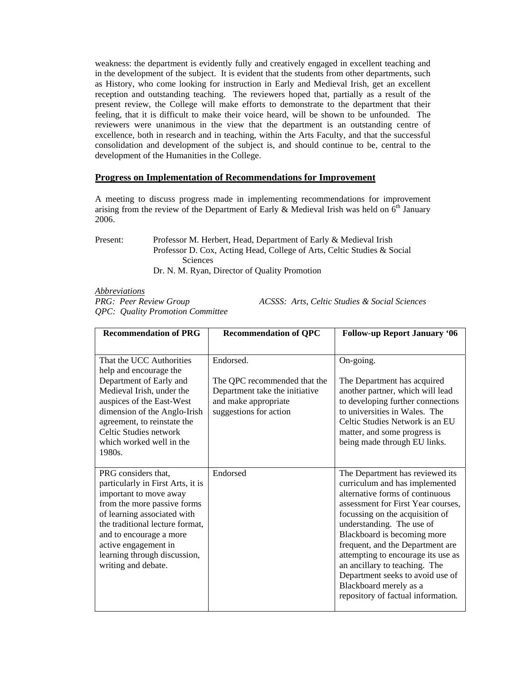weakness: the department is evidently fully and creatively engaged in excellent teaching and in the development of the subject. It is evident that the students from other departments, such as History, who come looking for instruction in Early and Medieval Irish, get an excellent reception and outstanding teaching. The reviewers hoped that, partially as a result of the present review, the College will make efforts to demonstrate to the department that their feeling, that it is difficult to make their voice heard, will be shown to be unfounded. The reviewers were unanimous in the view that the department is an outstanding centre of excellence, both in research and in teaching, within the Arts Faculty, and that the successful consolidation and development of the subject is, and should continue to be, central to the development of the Humanities in the College.

## **Progress on Implementation of Recommendations for Improvement**

A meeting to discuss progress made in implementing recommendations for improvement arising from the review of the Department of Early  $\&$  Medieval Irish was held on  $6<sup>th</sup>$  January 2006.

Present: Professor M. Herbert, Head, Department of Early & Medieval Irish Professor D. Cox, Acting Head, College of Arts, Celtic Studies & Social Sciences Dr. N. M. Ryan, Director of Quality Promotion

*Abbreviations*

*QPC: Quality Promotion Committee* 

*PRG: Peer Review Group ACSSS: Arts, Celtic Studies & Social Sciences* 

| <b>Recommendation of PRG</b>                                                                                                                                                                                                                                                                  | <b>Recommendation of QPC</b>                                                                                                  | <b>Follow-up Report January '06</b>                                                                                                                                                                                                                                                                                                                                                                                                                      |
|-----------------------------------------------------------------------------------------------------------------------------------------------------------------------------------------------------------------------------------------------------------------------------------------------|-------------------------------------------------------------------------------------------------------------------------------|----------------------------------------------------------------------------------------------------------------------------------------------------------------------------------------------------------------------------------------------------------------------------------------------------------------------------------------------------------------------------------------------------------------------------------------------------------|
| That the UCC Authorities<br>help and encourage the<br>Department of Early and<br>Medieval Irish, under the<br>auspices of the East-West<br>dimension of the Anglo-Irish<br>agreement, to reinstate the<br>Celtic Studies network<br>which worked well in the<br>1980s.                        | Endorsed.<br>The QPC recommended that the<br>Department take the initiative<br>and make appropriate<br>suggestions for action | On-going.<br>The Department has acquired<br>another partner, which will lead<br>to developing further connections<br>to universities in Wales. The<br>Celtic Studies Network is an EU<br>matter, and some progress is<br>being made through EU links.                                                                                                                                                                                                    |
| PRG considers that,<br>particularly in First Arts, it is<br>important to move away<br>from the more passive forms<br>of learning associated with<br>the traditional lecture format,<br>and to encourage a more<br>active engagement in<br>learning through discussion,<br>writing and debate. | Endorsed                                                                                                                      | The Department has reviewed its<br>curriculum and has implemented<br>alternative forms of continuous<br>assessment for First Year courses,<br>focussing on the acquisition of<br>understanding. The use of<br>Blackboard is becoming more<br>frequent, and the Department are<br>attempting to encourage its use as<br>an ancillary to teaching. The<br>Department seeks to avoid use of<br>Blackboard merely as a<br>repository of factual information. |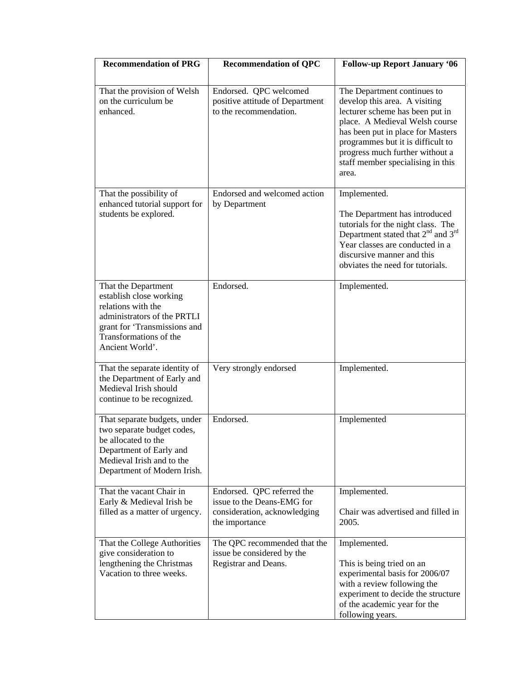| <b>Recommendation of PRG</b>                                                                                                                                                     | <b>Recommendation of QPC</b>                                                                               | <b>Follow-up Report January '06</b>                                                                                                                                                                                                                                                          |
|----------------------------------------------------------------------------------------------------------------------------------------------------------------------------------|------------------------------------------------------------------------------------------------------------|----------------------------------------------------------------------------------------------------------------------------------------------------------------------------------------------------------------------------------------------------------------------------------------------|
| That the provision of Welsh<br>on the curriculum be<br>enhanced.                                                                                                                 | Endorsed. QPC welcomed<br>positive attitude of Department<br>to the recommendation.                        | The Department continues to<br>develop this area. A visiting<br>lecturer scheme has been put in<br>place. A Medieval Welsh course<br>has been put in place for Masters<br>programmes but it is difficult to<br>progress much further without a<br>staff member specialising in this<br>area. |
| That the possibility of<br>enhanced tutorial support for<br>students be explored.                                                                                                | Endorsed and welcomed action<br>by Department                                                              | Implemented.<br>The Department has introduced<br>tutorials for the night class. The<br>Department stated that 2 <sup>nd</sup> and 3 <sup>rd</sup><br>Year classes are conducted in a<br>discursive manner and this<br>obviates the need for tutorials.                                       |
| That the Department<br>establish close working<br>relations with the<br>administrators of the PRTLI<br>grant for 'Transmissions and<br>Transformations of the<br>Ancient World'. | Endorsed.                                                                                                  | Implemented.                                                                                                                                                                                                                                                                                 |
| That the separate identity of<br>the Department of Early and<br>Medieval Irish should<br>continue to be recognized.                                                              | Very strongly endorsed                                                                                     | Implemented.                                                                                                                                                                                                                                                                                 |
| That separate budgets, under<br>two separate budget codes,<br>be allocated to the<br>Department of Early and<br>Medieval Irish and to the<br>Department of Modern Irish.         | Endorsed.                                                                                                  | Implemented                                                                                                                                                                                                                                                                                  |
| That the vacant Chair in<br>Early & Medieval Irish be<br>filled as a matter of urgency.                                                                                          | Endorsed. QPC referred the<br>issue to the Deans-EMG for<br>consideration, acknowledging<br>the importance | Implemented.<br>Chair was advertised and filled in<br>2005.                                                                                                                                                                                                                                  |
| That the College Authorities<br>give consideration to<br>lengthening the Christmas<br>Vacation to three weeks.                                                                   | The QPC recommended that the<br>issue be considered by the<br>Registrar and Deans.                         | Implemented.<br>This is being tried on an<br>experimental basis for 2006/07<br>with a review following the<br>experiment to decide the structure<br>of the academic year for the<br>following years.                                                                                         |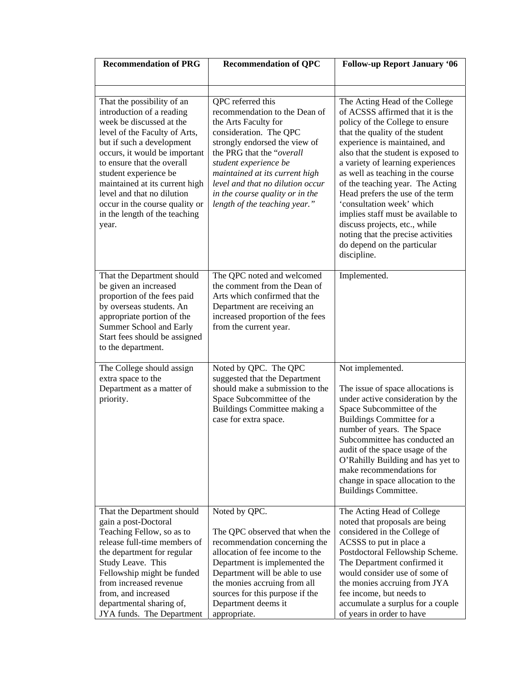| <b>Recommendation of PRG</b>                                                                                                                                                                                                                                                                                                                                                          | <b>Recommendation of QPC</b>                                                                                                                                                                                                                                                                                                          | <b>Follow-up Report January '06</b>                                                                                                                                                                                                                                                                                                                                                                                                                                                                                                                        |  |  |
|---------------------------------------------------------------------------------------------------------------------------------------------------------------------------------------------------------------------------------------------------------------------------------------------------------------------------------------------------------------------------------------|---------------------------------------------------------------------------------------------------------------------------------------------------------------------------------------------------------------------------------------------------------------------------------------------------------------------------------------|------------------------------------------------------------------------------------------------------------------------------------------------------------------------------------------------------------------------------------------------------------------------------------------------------------------------------------------------------------------------------------------------------------------------------------------------------------------------------------------------------------------------------------------------------------|--|--|
|                                                                                                                                                                                                                                                                                                                                                                                       |                                                                                                                                                                                                                                                                                                                                       |                                                                                                                                                                                                                                                                                                                                                                                                                                                                                                                                                            |  |  |
|                                                                                                                                                                                                                                                                                                                                                                                       |                                                                                                                                                                                                                                                                                                                                       |                                                                                                                                                                                                                                                                                                                                                                                                                                                                                                                                                            |  |  |
| That the possibility of an<br>introduction of a reading<br>week be discussed at the<br>level of the Faculty of Arts,<br>but if such a development<br>occurs, it would be important<br>to ensure that the overall<br>student experience be<br>maintained at its current high<br>level and that no dilution<br>occur in the course quality or<br>in the length of the teaching<br>year. | QPC referred this<br>recommendation to the Dean of<br>the Arts Faculty for<br>consideration. The QPC<br>strongly endorsed the view of<br>the PRG that the "overall<br>student experience be<br>maintained at its current high<br>level and that no dilution occur<br>in the course quality or in the<br>length of the teaching year." | The Acting Head of the College<br>of ACSSS affirmed that it is the<br>policy of the College to ensure<br>that the quality of the student<br>experience is maintained, and<br>also that the student is exposed to<br>a variety of learning experiences<br>as well as teaching in the course<br>of the teaching year. The Acting<br>Head prefers the use of the term<br>'consultation week' which<br>implies staff must be available to<br>discuss projects, etc., while<br>noting that the precise activities<br>do depend on the particular<br>discipline. |  |  |
| That the Department should<br>be given an increased<br>proportion of the fees paid<br>by overseas students. An<br>appropriate portion of the<br>Summer School and Early<br>Start fees should be assigned<br>to the department.                                                                                                                                                        | The QPC noted and welcomed<br>the comment from the Dean of<br>Arts which confirmed that the<br>Department are receiving an<br>increased proportion of the fees<br>from the current year.                                                                                                                                              | Implemented.                                                                                                                                                                                                                                                                                                                                                                                                                                                                                                                                               |  |  |
| The College should assign<br>extra space to the<br>Department as a matter of<br>priority.                                                                                                                                                                                                                                                                                             | Noted by QPC. The QPC<br>suggested that the Department<br>should make a submission to the<br>Space Subcommittee of the<br>Buildings Committee making a<br>case for extra space.                                                                                                                                                       | Not implemented.<br>The issue of space allocations is<br>under active consideration by the<br>Space Subcommittee of the<br>Buildings Committee for a<br>number of years. The Space<br>Subcommittee has conducted an<br>audit of the space usage of the<br>O'Rahilly Building and has yet to<br>make recommendations for<br>change in space allocation to the<br>Buildings Committee.                                                                                                                                                                       |  |  |
| That the Department should<br>gain a post-Doctoral<br>Teaching Fellow, so as to<br>release full-time members of<br>the department for regular<br>Study Leave. This<br>Fellowship might be funded<br>from increased revenue<br>from, and increased<br>departmental sharing of,<br>JYA funds. The Department                                                                            | Noted by QPC.<br>The QPC observed that when the<br>recommendation concerning the<br>allocation of fee income to the<br>Department is implemented the<br>Department will be able to use<br>the monies accruing from all<br>sources for this purpose if the<br>Department deems it<br>appropriate.                                      | The Acting Head of College<br>noted that proposals are being<br>considered in the College of<br>ACSSS to put in place a<br>Postdoctoral Fellowship Scheme.<br>The Department confirmed it<br>would consider use of some of<br>the monies accruing from JYA<br>fee income, but needs to<br>accumulate a surplus for a couple<br>of years in order to have                                                                                                                                                                                                   |  |  |